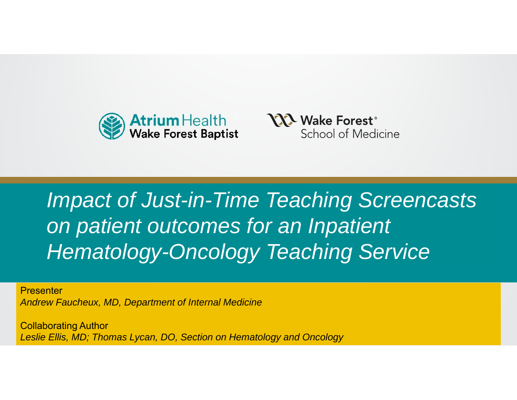



#### *<u>on</u> patient outcomes for an Inpatient* With Subhead or Supporting Thought *Hematology-Oncology Teaching Service Impact of Just-in-Time Teaching Screencasts*

**Presenter** *Andrew Faucheux, MD, Department of Internal Medicine*

Polloborating Author Collaborating Author *Leslie Ellis, MD; Thomas Lycan, DO, Section on Hematology and Oncology*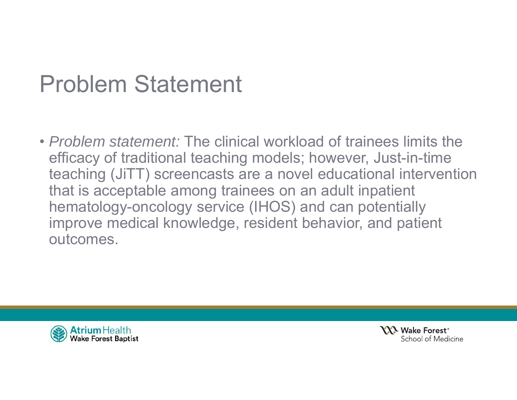## Problem Statement

• *Problem statement:* The clinical workload of trainees limits the efficacy of traditional teaching models; however, Just-in-time teaching (JiTT) screencasts are a novel educational intervention that is acceptable among trainees on an adult inpatient hematology-oncology service (IHOS) and can potentially improve medical knowledge, resident behavior, and patient outcomes.



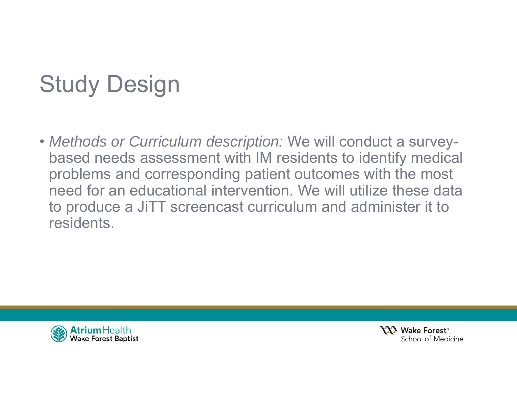# Study Design

• *Methods or Curriculum description:* We will conduct a surveybased needs assessment with IM residents to identify medical problems and corresponding patient outcomes with the most need for an educational intervention. We will utilize these data to produce a JiTT screencast curriculum and administer it to residents.



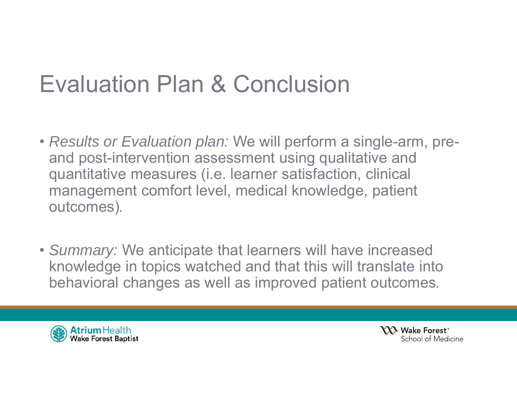## Evaluation Plan & Conclusion

- *Results or Evaluation plan:* We will perform a single-arm, preand post-intervention assessment using qualitative and quantitative measures (i.e. learner satisfaction, clinical management comfort level, medical knowledge, patient outcomes)*.*
- *Summary:* We anticipate that learners will have increased knowledge in topics watched and that this will translate into behavioral changes as well as improved patient outcomes*.*



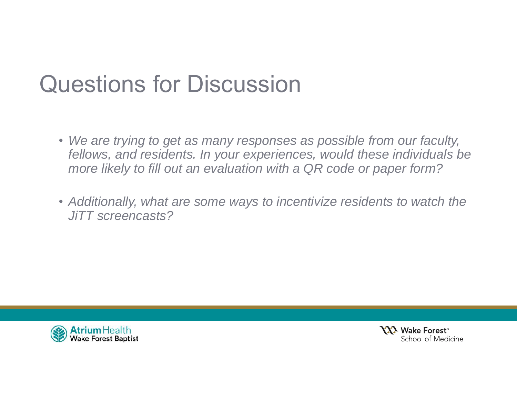## Questions for Discussion

- *We are trying to get as many responses as possible from our faculty, fellows, and residents. In your experiences, would these individuals be more likely to fill out an evaluation with a QR code or paper form?*
- *Additionally, what are some ways to incentivize residents to watch the JiTT screencasts?*